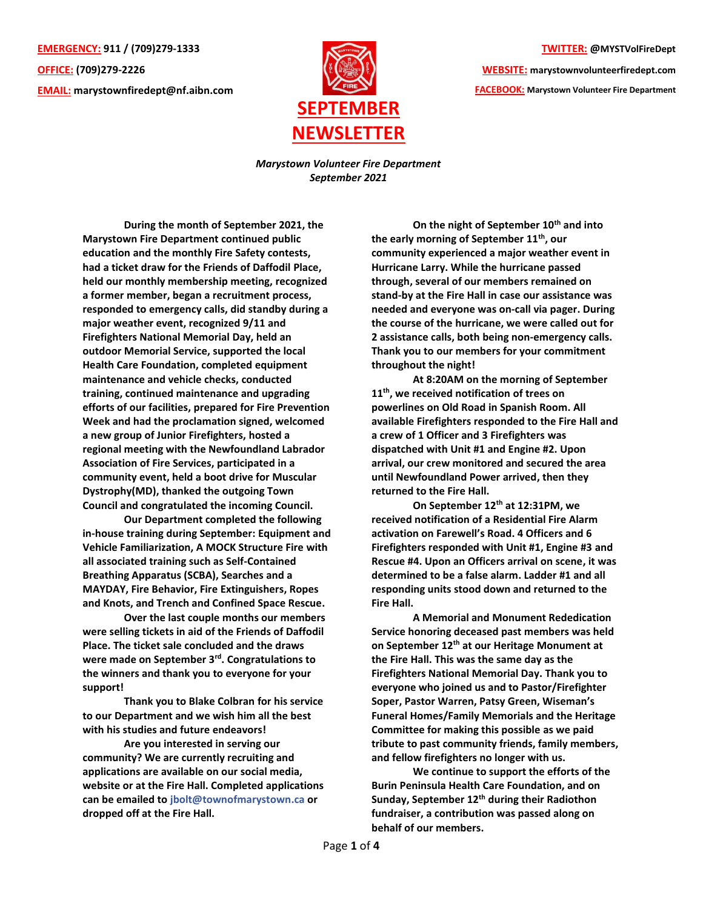**EMERGENCY: 911 / (709)279-1333 OFFICE: (709)279-2226 EMAIL: [marystownfiredept@nf.aibn.com](mailto:marystownfiredept@nf.aibn.com)**



**TWITTER: @MYSTVolFireDept**

**WEBSITE: marystownvolunteerfiredept.com FACEBOOK: Marystown Volunteer Fire Department**

*Marystown Volunteer Fire Department September 2021*

**During the month of September 2021, the Marystown Fire Department continued public education and the monthly Fire Safety contests, had a ticket draw for the Friends of Daffodil Place, held our monthly membership meeting, recognized a former member, began a recruitment process, responded to emergency calls, did standby during a major weather event, recognized 9/11 and Firefighters National Memorial Day, held an outdoor Memorial Service, supported the local Health Care Foundation, completed equipment maintenance and vehicle checks, conducted training, continued maintenance and upgrading efforts of our facilities, prepared for Fire Prevention Week and had the proclamation signed, welcomed a new group of Junior Firefighters, hosted a regional meeting with the Newfoundland Labrador Association of Fire Services, participated in a community event, held a boot drive for Muscular Dystrophy(MD), thanked the outgoing Town Council and congratulated the incoming Council.**

**Our Department completed the following in-house training during September: Equipment and Vehicle Familiarization, A MOCK Structure Fire with all associated training such as Self-Contained Breathing Apparatus (SCBA), Searches and a MAYDAY, Fire Behavior, Fire Extinguishers, Ropes and Knots, and Trench and Confined Space Rescue.**

**Over the last couple months our members were selling tickets in aid of the Friends of Daffodil Place. The ticket sale concluded and the draws were made on September 3rd. Congratulations to the winners and thank you to everyone for your support!**

**Thank you to Blake Colbran for his service to our Department and we wish him all the best with his studies and future endeavors!** 

**Are you interested in serving our community? We are currently recruiting and applications are available on our social media, website or at the Fire Hall. Completed applications can be emailed to [jbolt@townofmarystown.ca](mailto:jbolt@townofmarystown.ca) or dropped off at the Fire Hall.** 

**On the night of September 10th and into the early morning of September 11th , our community experienced a major weather event in Hurricane Larry. While the hurricane passed through, several of our members remained on stand-by at the Fire Hall in case our assistance was needed and everyone was on-call via pager. During the course of the hurricane, we were called out for 2 assistance calls, both being non-emergency calls. Thank you to our members for your commitment throughout the night!**

**At 8:20AM on the morning of September 11th, we received notification of trees on powerlines on Old Road in Spanish Room. All available Firefighters responded to the Fire Hall and a crew of 1 Officer and 3 Firefighters was dispatched with Unit #1 and Engine #2. Upon arrival, our crew monitored and secured the area until Newfoundland Power arrived, then they returned to the Fire Hall.**

**On September 12th at 12:31PM, we received notification of a Residential Fire Alarm activation on Farewell's Road. 4 Officers and 6 Firefighters responded with Unit #1, Engine #3 and Rescue #4. Upon an Officers arrival on scene, it was determined to be a false alarm. Ladder #1 and all responding units stood down and returned to the Fire Hall.** 

**A Memorial and Monument Rededication Service honoring deceased past members was held on September 12th at our Heritage Monument at the Fire Hall. This was the same day as the Firefighters National Memorial Day. Thank you to everyone who joined us and to Pastor/Firefighter Soper, Pastor Warren, Patsy Green, Wiseman's Funeral Homes/Family Memorials and the Heritage Committee for making this possible as we paid tribute to past community friends, family members, and fellow firefighters no longer with us.** 

**We continue to support the efforts of the Burin Peninsula Health Care Foundation, and on Sunday, September 12th during their Radiothon fundraiser, a contribution was passed along on behalf of our members.**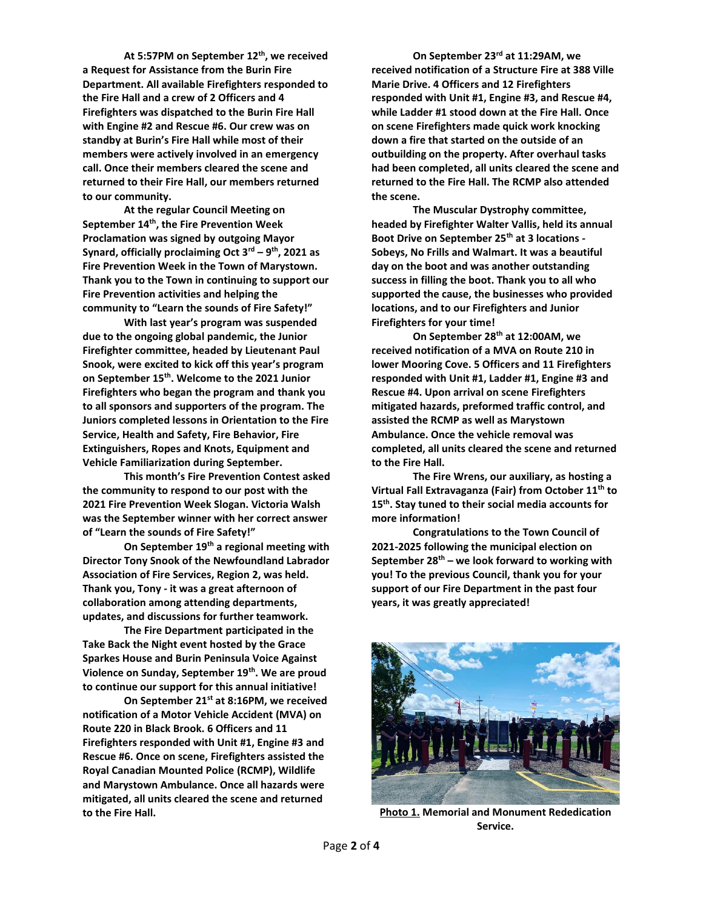**At 5:57PM on September 12th , we received a Request for Assistance from the Burin Fire Department. All available Firefighters responded to the Fire Hall and a crew of 2 Officers and 4 Firefighters was dispatched to the Burin Fire Hall with Engine #2 and Rescue #6. Our crew was on standby at Burin's Fire Hall while most of their members were actively involved in an emergency call. Once their members cleared the scene and returned to their Fire Hall, our members returned to our community.** 

**At the regular Council Meeting on September 14th , the Fire Prevention Week Proclamation was signed by outgoing Mayor Synard, officially proclaiming Oct 3rd – 9 th, 2021 as Fire Prevention Week in the Town of Marystown. Thank you to the Town in continuing to support our Fire Prevention activities and helping the community to "Learn the sounds of Fire Safety!"**

**With last year's program was suspended due to the ongoing global pandemic, the Junior Firefighter committee, headed by Lieutenant Paul Snook, were excited to kick off this year's program on September 15th. Welcome to the 2021 Junior Firefighters who began the program and thank you to all sponsors and supporters of the program. The Juniors completed lessons in Orientation to the Fire Service, Health and Safety, Fire Behavior, Fire Extinguishers, Ropes and Knots, Equipment and Vehicle Familiarization during September.** 

**This month's Fire Prevention Contest asked the community to respond to our post with the 2021 Fire Prevention Week Slogan. Victoria Walsh was the September winner with her correct answer of "Learn the sounds of Fire Safety!"**

**On September 19th a regional meeting with Director Tony Snook of the Newfoundland Labrador Association of Fire Services, Region 2, was held. Thank you, Tony - it was a great afternoon of collaboration among attending departments, updates, and discussions for further teamwork.**

**The Fire Department participated in the Take Back the Night event hosted by the Grace Sparkes House and Burin Peninsula Voice Against Violence on Sunday, September 19th. We are proud to continue our support for this annual initiative!**

**On September 21st at 8:16PM, we received notification of a Motor Vehicle Accident (MVA) on Route 220 in Black Brook. 6 Officers and 11 Firefighters responded with Unit #1, Engine #3 and Rescue #6. Once on scene, Firefighters assisted the Royal Canadian Mounted Police (RCMP), Wildlife and Marystown Ambulance. Once all hazards were mitigated, all units cleared the scene and returned to the Fire Hall.** 

**On September 23rd at 11:29AM, we received notification of a Structure Fire at 388 Ville Marie Drive. 4 Officers and 12 Firefighters responded with Unit #1, Engine #3, and Rescue #4, while Ladder #1 stood down at the Fire Hall. Once on scene Firefighters made quick work knocking down a fire that started on the outside of an outbuilding on the property. After overhaul tasks had been completed, all units cleared the scene and returned to the Fire Hall. The RCMP also attended the scene.** 

**The Muscular Dystrophy committee, headed by Firefighter Walter Vallis, held its annual Boot Drive on September 25th at 3 locations - Sobeys, No Frills and Walmart. It was a beautiful day on the boot and was another outstanding success in filling the boot. Thank you to all who supported the cause, the businesses who provided locations, and to our Firefighters and Junior Firefighters for your time!**

**On September 28th at 12:00AM, we received notification of a MVA on Route 210 in lower Mooring Cove. 5 Officers and 11 Firefighters responded with Unit #1, Ladder #1, Engine #3 and Rescue #4. Upon arrival on scene Firefighters mitigated hazards, preformed traffic control, and assisted the RCMP as well as Marystown Ambulance. Once the vehicle removal was completed, all units cleared the scene and returned to the Fire Hall.**

**The Fire Wrens, our auxiliary, as hosting a Virtual Fall Extravaganza (Fair) from October 11th to 15th. Stay tuned to their social media accounts for more information!**

**Congratulations to the Town Council of 2021-2025 following the municipal election on September 28th – we look forward to working with you! To the previous Council, thank you for your support of our Fire Department in the past four years, it was greatly appreciated!**



**Photo 1. Memorial and Monument Rededication Service.**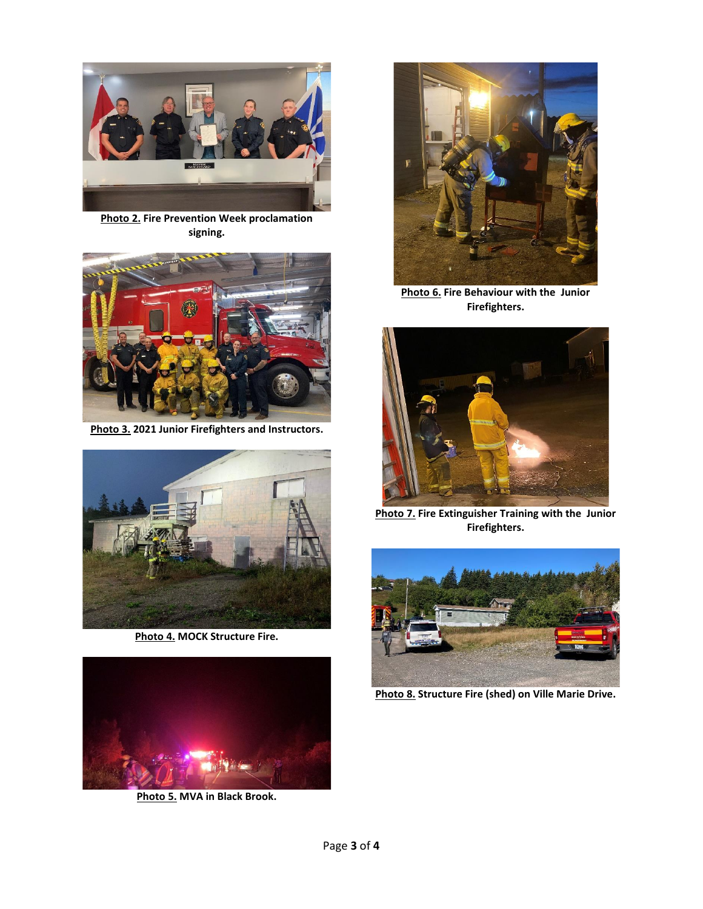

**Photo 2. Fire Prevention Week proclamation signing.**



**Photo 3. 2021 Junior Firefighters and Instructors.**



**Photo 4. MOCK Structure Fire.**



**Photo 5. MVA in Black Brook.**



**Photo 6. Fire Behaviour with the Junior Firefighters.**



**Photo 7. Fire Extinguisher Training with the Junior Firefighters.**



**Photo 8. Structure Fire (shed) on Ville Marie Drive.**